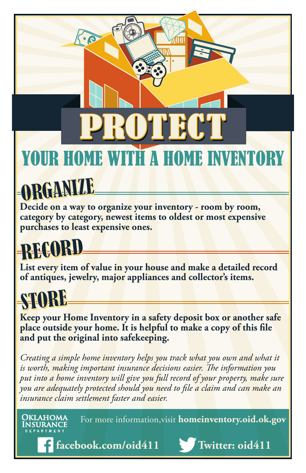## PROTECT YOUR HOME WITH A HOME INVENTORY PROTECT

# RGANIY

**Decide on a way to organize your inventory - room by room, category by category, newest items to oldest or most expensive purchases to least expensive ones.**

#### RECORD

**List every item of value in your house and make a detailed record of antiques, jewelry, major appliances and collector's items.**

#### STORE

Oklahoma

**Keep your Home Inventory in a safety deposit box or another safe place outside your home. It is helpful to make a copy of this file and put the original into safekeeping.** 

*Creating a simple home inventory helps you track what you own and what it is worth, making important insurance decisions easier. The information you*  put into a home inventory will give you full record of your property, make sure *you are adequately protected should you need to file a claim and can make an insurance claim settlement faster and easier.* 

For more information,visit **homeinventory.oid.ok.gov**